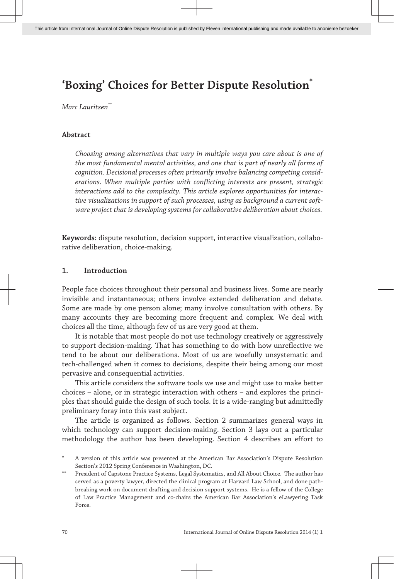*Marc Lauritsen*\*\*

### **Abstract**

*Choosing among alternatives that vary in multiple ways you care about is one of the most fundamental mental activities, and one that is part of nearly all forms of cognition. Decisional processes often primarily involve balancing competing considerations. When multiple parties with conflicting interests are present, strategic interactions add to the complexity. This article explores opportunities for interactive visualizations in support of such processes, using as background a current software project that is developing systems for collaborative deliberation about choices.*

**Keywords:** dispute resolution, decision support, interactive visualization, collaborative deliberation, choice-making.

### **1. Introduction**

People face choices throughout their personal and business lives. Some are nearly invisible and instantaneous; others involve extended deliberation and debate. Some are made by one person alone; many involve consultation with others. By many accounts they are becoming more frequent and complex. We deal with choices all the time, although few of us are very good at them.

It is notable that most people do not use technology creatively or aggressively to support decision-making. That has something to do with how unreflective we tend to be about our deliberations. Most of us are woefully unsystematic and tech-challenged when it comes to decisions, despite their being among our most pervasive and consequential activities.

This article considers the software tools we use and might use to make better choices – alone, or in strategic interaction with others – and explores the principles that should guide the design of such tools. It is a wide-ranging but admittedly preliminary foray into this vast subject.

The article is organized as follows. Section 2 summarizes general ways in which technology can support decision-making. Section 3 lays out a particular methodology the author has been developing. Section 4 describes an effort to

A version of this article was presented at the American Bar Association's Dispute Resolution Section's 2012 Spring Conference in Washington, DC.

<sup>\*\*</sup> President of Capstone Practice Systems, Legal Systematics, and All About Choice. The author has served as a poverty lawyer, directed the clinical program at Harvard Law School, and done pathbreaking work on document drafting and decision support systems. He is a fellow of the College of Law Practice Management and co-chairs the American Bar Association's eLawyering Task Force.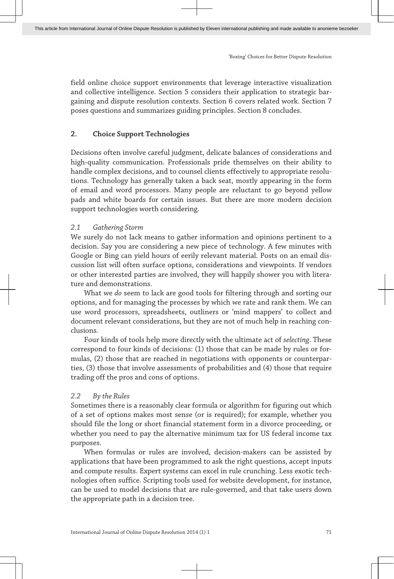field online choice support environments that leverage interactive visualization and collective intelligence. Section 5 considers their application to strategic bargaining and dispute resolution contexts. Section 6 covers related work. Section 7 poses questions and summarizes guiding principles. Section 8 concludes.

## **2. Choice Support Technologies**

Decisions often involve careful judgment, delicate balances of considerations and high-quality communication. Professionals pride themselves on their ability to handle complex decisions, and to counsel clients effectively to appropriate resolutions. Technology has generally taken a back seat, mostly appearing in the form of email and word processors. Many people are reluctant to go beyond yellow pads and white boards for certain issues. But there are more modern decision support technologies worth considering.

## *2.1 Gathering Storm*

We surely do not lack means to gather information and opinions pertinent to a decision. Say you are considering a new piece of technology. A few minutes with Google or Bing can yield hours of eerily relevant material. Posts on an email discussion list will often surface options, considerations and viewpoints. If vendors or other interested parties are involved, they will happily shower you with literature and demonstrations.

What we *do* seem to lack are good tools for filtering through and sorting our options, and for managing the processes by which we rate and rank them. We can use word processors, spreadsheets, outliners or 'mind mappers' to collect and document relevant considerations, but they are not of much help in reaching conclusions.

Four kinds of tools help more directly with the ultimate act of *selecting*. These correspond to four kinds of decisions: (1) those that can be made by rules or formulas, (2) those that are reached in negotiations with opponents or counterparties, (3) those that involve assessments of probabilities and (4) those that require trading off the pros and cons of options.

### *2.2 By the Rules*

Sometimes there is a reasonably clear formula or algorithm for figuring out which of a set of options makes most sense (or is required); for example, whether you should file the long or short financial statement form in a divorce proceeding, or whether you need to pay the alternative minimum tax for US federal income tax purposes.

When formulas or rules are involved, decision-makers can be assisted by applications that have been programmed to ask the right questions, accept inputs and compute results. Expert systems can excel in rule crunching. Less exotic technologies often suffice. Scripting tools used for website development, for instance, can be used to model decisions that are rule-governed, and that take users down the appropriate path in a decision tree.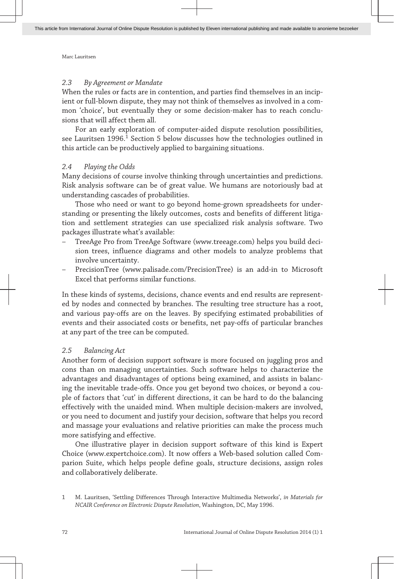### *2.3 By Agreement or Mandate*

When the rules or facts are in contention, and parties find themselves in an incipient or full-blown dispute, they may not think of themselves as involved in a common 'choice', but eventually they or some decision-maker has to reach conclusions that will affect them all.

For an early exploration of computer-aided dispute resolution possibilities, see Lauritsen 1996. $^1$  Section 5 below discusses how the technologies outlined in this article can be productively applied to bargaining situations.

### *2.4 Playing the Odds*

Many decisions of course involve thinking through uncertainties and predictions. Risk analysis software can be of great value. We humans are notoriously bad at understanding cascades of probabilities.

Those who need or want to go beyond home-grown spreadsheets for understanding or presenting the likely outcomes, costs and benefits of different litigation and settlement strategies can use specialized risk analysis software. Two packages illustrate what's available:

- TreeAge Pro from TreeAge Software (www.treeage.com) helps you build decision trees, influence diagrams and other models to analyze problems that involve uncertainty.
- PrecisionTree (www.palisade.com/PrecisionTree) is an add-in to Microsoft Excel that performs similar functions.

In these kinds of systems, decisions, chance events and end results are represented by nodes and connected by branches. The resulting tree structure has a root, and various pay-offs are on the leaves. By specifying estimated probabilities of events and their associated costs or benefits, net pay-offs of particular branches at any part of the tree can be computed.

#### *2.5 Balancing Act*

Another form of decision support software is more focused on juggling pros and cons than on managing uncertainties. Such software helps to characterize the advantages and disadvantages of options being examined, and assists in balancing the inevitable trade-offs. Once you get beyond two choices, or beyond a couple of factors that 'cut' in different directions, it can be hard to do the balancing effectively with the unaided mind. When multiple decision-makers are involved, or you need to document and justify your decision, software that helps you record and massage your evaluations and relative priorities can make the process much more satisfying and effective.

One illustrative player in decision support software of this kind is Expert Choice (www.expertchoice.com). It now offers a Web-based solution called Comparion Suite, which helps people define goals, structure decisions, assign roles and collaboratively deliberate.

<sup>1</sup> M. Lauritsen, 'Settling Differences Through Interactive Multimedia Networks', *in Materials for NCAIR Conference on Electronic Dispute Resolution*, Washington, DC, May 1996.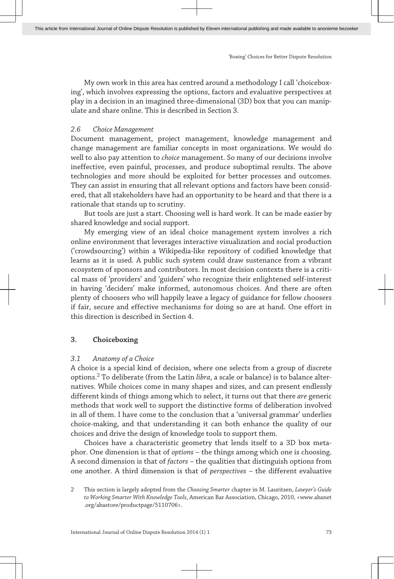My own work in this area has centred around a methodology I call 'choiceboxing', which involves expressing the options, factors and evaluative perspectives at play in a decision in an imagined three-dimensional (3D) box that you can manipulate and share online. This is described in Section 3.

### *2.6 Choice Management*

Document management, project management, knowledge management and change management are familiar concepts in most organizations. We would do well to also pay attention to *choice* management. So many of our decisions involve ineffective, even painful, processes, and produce suboptimal results. The above technologies and more should be exploited for better processes and outcomes. They can assist in ensuring that all relevant options and factors have been considered, that all stakeholders have had an opportunity to be heard and that there is a rationale that stands up to scrutiny.

But tools are just a start. Choosing well is hard work. It can be made easier by shared knowledge and social support.

My emerging view of an ideal choice management system involves a rich online environment that leverages interactive visualization and social production ('crowdsourcing') within a Wikipedia-like repository of codified knowledge that learns as it is used. A public such system could draw sustenance from a vibrant ecosystem of sponsors and contributors. In most decision contexts there is a critical mass of 'providers' and 'guiders' who recognize their enlightened self-interest in having 'deciders' make informed, autonomous choices. And there are often plenty of choosers who will happily leave a legacy of guidance for fellow choosers if fair, secure and effective mechanisms for doing so are at hand. One effort in this direction is described in Section 4.

### **3. Choiceboxing**

### *3.1 Anatomy of a Choice*

A choice is a special kind of decision, where one selects from a group of discrete options.<sup>2</sup> To deliberate (from the Latin *libra*, a scale or balance) is to balance alternatives. While choices come in many shapes and sizes, and can present endlessly different kinds of things among which to select, it turns out that there *are* generic methods that work well to support the distinctive forms of deliberation involved in all of them. I have come to the conclusion that a 'universal grammar' underlies choice-making, and that understanding it can both enhance the quality of our choices and drive the design of knowledge tools to support them.

Choices have a characteristic geometry that lends itself to a 3D box metaphor. One dimension is that of *options* – the things among which one is choosing. A second dimension is that of *factors* – the qualities that distinguish options from one another. A third dimension is that of *perspectives* – the different evaluative

<sup>2</sup> This section is largely adopted from the *Choosing Smarter* chapter in M. Lauritsen, *Lawyer's Guide to Working Smarter With Knowledge Tools*, American Bar Association, Chicago, 2010, <www.abanet .org/abastore/productpage/5110706>.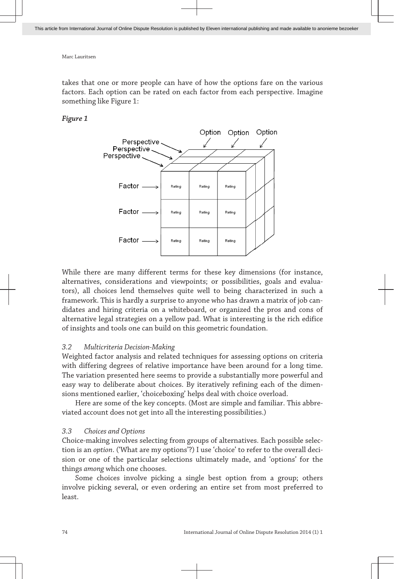takes that one or more people can have of how the options fare on the various factors. Each option can be rated on each factor from each perspective. Imagine something like Figure 1:

### *Figure 1*



While there are many different terms for these key dimensions (for instance, alternatives, considerations and viewpoints; or possibilities, goals and evaluators), all choices lend themselves quite well to being characterized in such a framework. This is hardly a surprise to anyone who has drawn a matrix of job candidates and hiring criteria on a whiteboard, or organized the pros and cons of alternative legal strategies on a yellow pad. What is interesting is the rich edifice of insights and tools one can build on this geometric foundation.

#### *3.2 Multicriteria Decision-Making*

Weighted factor analysis and related techniques for assessing options on criteria with differing degrees of relative importance have been around for a long time. The variation presented here seems to provide a substantially more powerful and easy way to deliberate about choices. By iteratively refining each of the dimensions mentioned earlier, 'choiceboxing' helps deal with choice overload.

Here are some of the key concepts. (Most are simple and familiar. This abbreviated account does not get into all the interesting possibilities.)

### *3.3 Choices and Options*

Choice-making involves selecting from groups of alternatives. Each possible selection is an *option*. ('What are my options'?) I use 'choice' to refer to the overall decision or one of the particular selections ultimately made, and 'options' for the things *among* which one chooses.

Some choices involve picking a single best option from a group; others involve picking several, or even ordering an entire set from most preferred to least.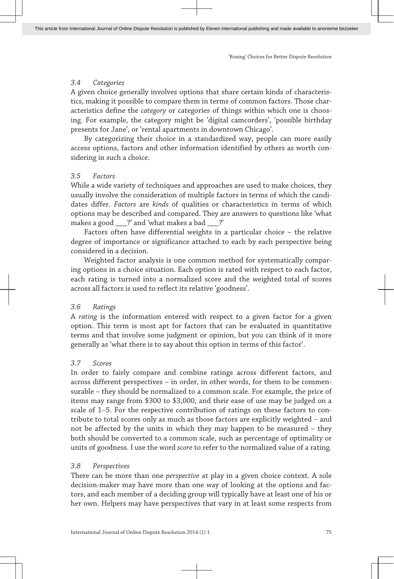## *3.4 Categories*

A given choice generally involves options that share certain kinds of characteristics, making it possible to compare them in terms of common factors. Those characteristics define the *category* or categories of things within which one is choosing. For example, the category might be 'digital camcorders', 'possible birthday presents for Jane', or 'rental apartments in downtown Chicago'.

By categorizing their choice in a standardized way, people can more easily access options, factors and other information identified by others as worth considering in such a choice.

## *3.5 Factors*

While a wide variety of techniques and approaches are used to make choices, they usually involve the consideration of multiple factors in terms of which the candidates differ. *Factors* are *kinds* of qualities or characteristics in terms of which options may be described and compared. They are answers to questions like 'what makes a good \_\_\_?' and 'what makes a bad \_\_\_?'

Factors often have differential weights in a particular choice – the relative degree of importance or significance attached to each by each perspective being considered in a decision.

Weighted factor analysis is one common method for systematically comparing options in a choice situation. Each option is rated with respect to each factor, each rating is turned into a normalized score and the weighted total of scores across all factors is used to reflect its relative 'goodness'.

### *3.6 Ratings*

A *rating* is the information entered with respect to a given factor for a given option. This term is most apt for factors that can be evaluated in quantitative terms and that involve some judgment or opinion, but you can think of it more generally as 'what there is to say about this option in terms of this factor'.

### *3.7 Scores*

In order to fairly compare and combine ratings across different factors, and across different perspectives – in order, in other words, for them to be commensurable – they should be normalized to a common scale. For example, the price of items may range from \$300 to \$3,000, and their ease of use may be judged on a scale of 1–5. For the respective contribution of ratings on these factors to contribute to total scores only as much as those factors are explicitly weighted – and not be affected by the units in which they may happen to be measured – they both should be converted to a common scale, such as percentage of optimality or units of goodness. I use the word *score* to refer to the normalized value of a rating.

### *3.8 Perspectives*

There can be more than one *perspective* at play in a given choice context. A sole decision-maker may have more than one way of looking at the options and factors, and each member of a deciding group will typically have at least one of his or her own. Helpers may have perspectives that vary in at least some respects from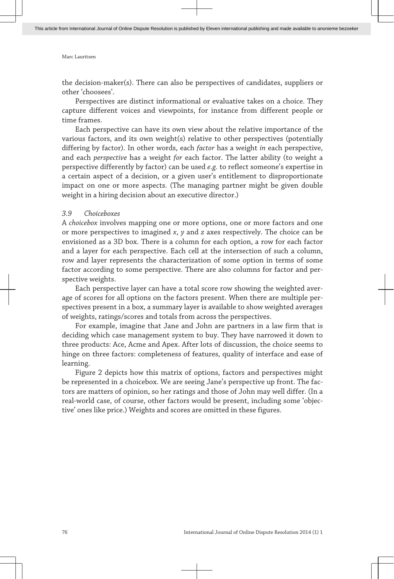the decision-maker(s). There can also be perspectives of candidates, suppliers or other 'choosees'.

Perspectives are distinct informational or evaluative takes on a choice. They capture different voices and viewpoints, for instance from different people or time frames.

Each perspective can have its own view about the relative importance of the various factors, and its own weight(s) relative to other perspectives (potentially differing by factor). In other words, each *factor* has a weight *in* each perspective, and each *perspective* has a weight *for* each factor. The latter ability (to weight a perspective differently by factor) can be used *e.g.* to reflect someone's expertise in a certain aspect of a decision, or a given user's entitlement to disproportionate impact on one or more aspects. (The managing partner might be given double weight in a hiring decision about an executive director.)

#### *3.9 Choiceboxes*

A *choicebox* involves mapping one or more options, one or more factors and one or more perspectives to imagined *x*, *y* and *z* axes respectively. The choice can be envisioned as a 3D box. There is a column for each option, a row for each factor and a layer for each perspective. Each cell at the intersection of such a column, row and layer represents the characterization of some option in terms of some factor according to some perspective. There are also columns for factor and perspective weights.

Each perspective layer can have a total score row showing the weighted average of scores for all options on the factors present. When there are multiple perspectives present in a box, a summary layer is available to show weighted averages of weights, ratings/scores and totals from across the perspectives.

For example, imagine that Jane and John are partners in a law firm that is deciding which case management system to buy. They have narrowed it down to three products: Ace, Acme and Apex. After lots of discussion, the choice seems to hinge on three factors: completeness of features, quality of interface and ease of learning.

Figure 2 depicts how this matrix of options, factors and perspectives might be represented in a choicebox. We are seeing Jane's perspective up front. The factors are matters of opinion, so her ratings and those of John may well differ. (In a real-world case, of course, other factors would be present, including some 'objective' ones like price.) Weights and scores are omitted in these figures.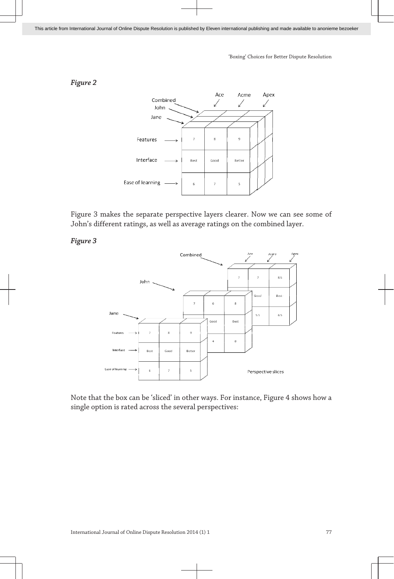

Figure 3 makes the separate perspective layers clearer. Now we can see some of John's different ratings, as well as average ratings on the combined layer.

*Figure 3*



Note that the box can be 'sliced' in other ways. For instance, Figure 4 shows how a single option is rated across the several perspectives:

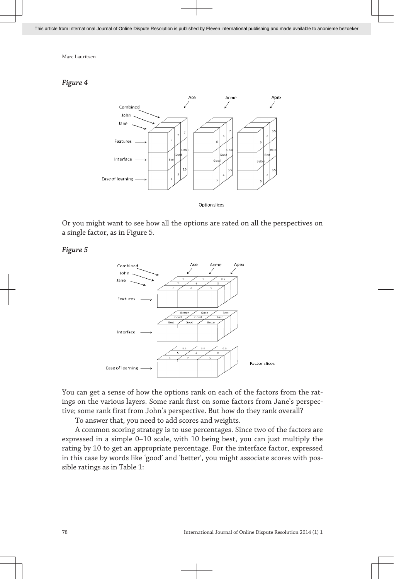#### *Figure 4*



Or you might want to see how all the options are rated on all the perspectives on a single factor, as in Figure 5.

*Figure 5*



You can get a sense of how the options rank on each of the factors from the ratings on the various layers. Some rank first on some factors from Jane's perspective; some rank first from John's perspective. But how do they rank overall?

To answer that, you need to add scores and weights.

A common scoring strategy is to use percentages. Since two of the factors are expressed in a simple 0–10 scale, with 10 being best, you can just multiply the rating by 10 to get an appropriate percentage. For the interface factor, expressed in this case by words like 'good' and 'better', you might associate scores with possible ratings as in Table 1: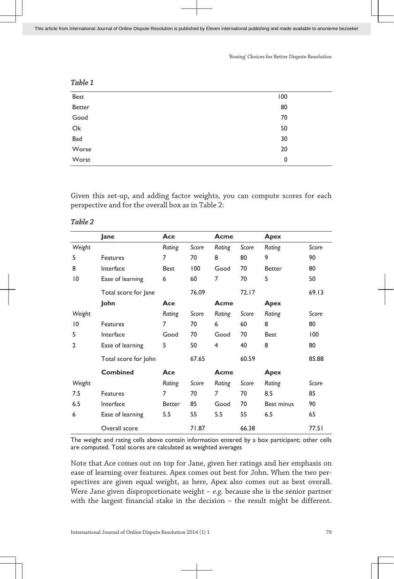| Best          | 100 |
|---------------|-----|
| Better        | 80  |
| Good          | 70  |
| $\mathsf{Ok}$ | 50  |
| Bad           | 30  |
| Worse         | 20  |
| Worst         | 0   |

*Table 1*

Given this set-up, and adding factor weights, you can compute scores for each perspective and for the overall box as in Table 2:

|                 | Jane                 | Ace           |       | Acme   |       | Apex          |       |
|-----------------|----------------------|---------------|-------|--------|-------|---------------|-------|
| Weight          |                      | Rating        | Score | Rating | Score | Rating        | Score |
| 5               | <b>Features</b>      | 7             | 70    | 8      | 80    | 9             | 90    |
| 8               | Interface            | <b>Best</b>   | 100   | Good   | 70    | <b>Better</b> | 80    |
| 10              | Ease of learning     | 6             | 60    | 7      | 70    | 5             | 50    |
|                 | Total score for Jane |               | 76.09 |        | 72.17 |               | 69.13 |
|                 | John                 | Ace           |       | Acme   |       | Apex          |       |
| Weight          |                      | Rating        | Score | Rating | Score | Rating        | Score |
| $\overline{10}$ | <b>Features</b>      | 7             | 70    | 6      | 60    | 8             | 80    |
| 5               | Interface            | Good          | 70    | Good   | 70    | <b>Best</b>   | 100   |
| $\overline{2}$  | Ease of learning     | 5             | 50    | 4      | 40    | 8             | 80    |
|                 | Total score for John |               | 67.65 |        | 60.59 |               | 85.88 |
|                 | <b>Combined</b>      | Ace           |       | Acme   |       | Apex          |       |
| Weight          |                      | Rating        | Score | Rating | Score | Rating        | Score |
| 7.5             | <b>Features</b>      | 7             | 70    | 7      | 70    | 8.5           | 85    |
| 6.5             | Interface            | <b>Better</b> | 85    | Good   | 70    | Best minus    | 90    |
| 6               | Ease of learning     | 5.5           | 55    | 5.5    | 55    | 6.5           | 65    |
|                 | Overall score        |               | 71.87 |        | 66.38 |               | 77.51 |

#### *Table 2*

The weight and rating cells above contain information entered by a box participant; other cells are computed. Total scores are calculated as weighted averages

Note that Ace comes out on top for Jane, given her ratings and her emphasis on ease of learning over features. Apex comes out best for John. When the two perspectives are given equal weight, as here, Apex also comes out as best overall. Were Jane given disproportionate weight – *e.g.* because she is the senior partner with the largest financial stake in the decision – the result might be different.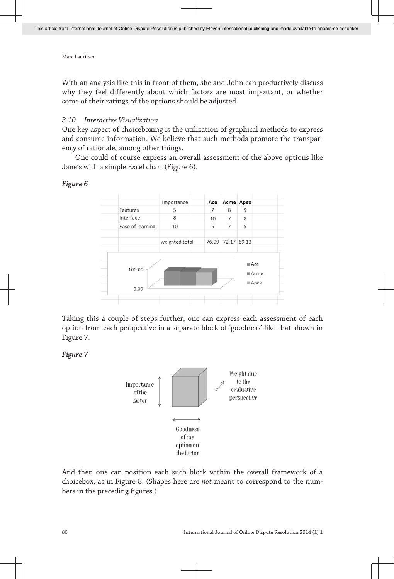With an analysis like this in front of them, she and John can productively discuss why they feel differently about which factors are most important, or whether some of their ratings of the options should be adjusted.

### *3.10 Interactive Visualization*

One key aspect of choiceboxing is the utilization of graphical methods to express and consume information. We believe that such methods promote the transparency of rationale, among other things.

One could of course express an overall assessment of the above options like Jane's with a simple Excel chart (Figure 6).

### *Figure 6*



Taking this a couple of steps further, one can express each assessment of each option from each perspective in a separate block of 'goodness' like that shown in Figure 7.

*Figure 7*



And then one can position each such block within the overall framework of a choicebox, as in Figure 8. (Shapes here are *not* meant to correspond to the numbers in the preceding figures.)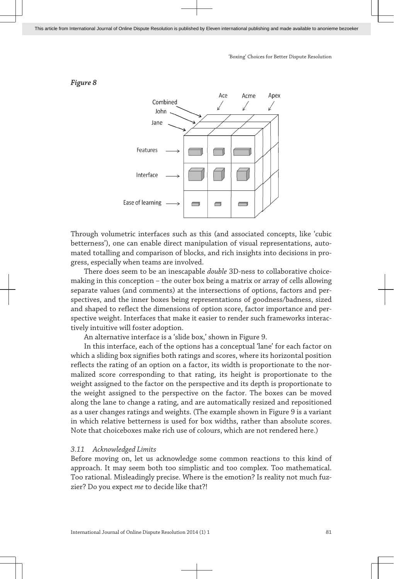

*Figure 8*

Through volumetric interfaces such as this (and associated concepts, like 'cubic betterness'), one can enable direct manipulation of visual representations, automated totalling and comparison of blocks, and rich insights into decisions in progress, especially when teams are involved.

There does seem to be an inescapable *double* 3D-ness to collaborative choicemaking in this conception – the outer box being a matrix or array of cells allowing separate values (and comments) at the intersections of options, factors and perspectives, and the inner boxes being representations of goodness/badness, sized and shaped to reflect the dimensions of option score, factor importance and perspective weight. Interfaces that make it easier to render such frameworks interactively intuitive will foster adoption.

An alternative interface is a 'slide box,' shown in Figure 9.

In this interface, each of the options has a conceptual 'lane' for each factor on which a sliding box signifies both ratings and scores, where its horizontal position reflects the rating of an option on a factor, its width is proportionate to the normalized score corresponding to that rating, its height is proportionate to the weight assigned to the factor on the perspective and its depth is proportionate to the weight assigned to the perspective on the factor. The boxes can be moved along the lane to change a rating, and are automatically resized and repositioned as a user changes ratings and weights. (The example shown in Figure 9 is a variant in which relative betterness is used for box widths, rather than absolute scores. Note that choiceboxes make rich use of colours, which are not rendered here.)

### *3.11 Acknowledged Limits*

Before moving on, let us acknowledge some common reactions to this kind of approach. It may seem both too simplistic and too complex. Too mathematical. Too rational. Misleadingly precise. Where is the emotion? Is reality not much fuzzier? Do you expect *me* to decide like that?!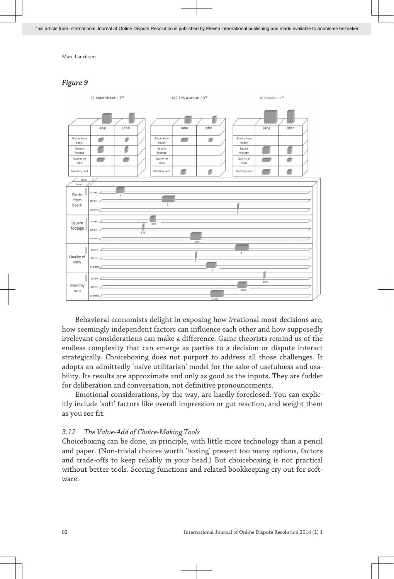### *Figure 9*



Behavioral economists delight in exposing how *ir*rational most decisions are, how seemingly independent factors can influence each other and how supposedly irrelevant considerations can make a difference. Game theorists remind us of the endless complexity that can emerge as parties to a decision or dispute interact strategically. Choiceboxing does not purport to address all those challenges. It adopts an admittedly 'naïve utilitarian' model for the sake of usefulness and usability. Its results are approximate and only as good as the inputs. They are fodder for deliberation and conversation, not definitive pronouncements.

Emotional considerations, by the way, are hardly foreclosed. You can explicitly include 'soft' factors like overall impression or gut reaction, and weight them as you see fit.

### *3.12 The Value-Add of Choice-Making Tools*

Choiceboxing can be done, in principle, with little more technology than a pencil and paper. (Non-trivial choices worth 'boxing' present too many options, factors and trade-offs to keep reliably in your head.) But choiceboxing is not practical without better tools. Scoring functions and related bookkeeping cry out for software.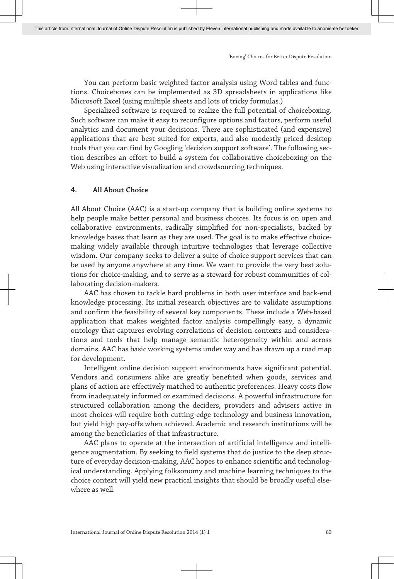You can perform basic weighted factor analysis using Word tables and functions. Choiceboxes can be implemented as 3D spreadsheets in applications like Microsoft Excel (using multiple sheets and lots of tricky formulas.)

Specialized software is required to realize the full potential of choiceboxing. Such software can make it easy to reconfigure options and factors, perform useful analytics and document your decisions. There are sophisticated (and expensive) applications that are best suited for experts, and also modestly priced desktop tools that you can find by Googling 'decision support software'. The following section describes an effort to build a system for collaborative choiceboxing on the Web using interactive visualization and crowdsourcing techniques.

#### **4. All About Choice**

All About Choice (AAC) is a start-up company that is building online systems to help people make better personal and business choices. Its focus is on open and collaborative environments, radically simplified for non-specialists, backed by knowledge bases that learn as they are used. The goal is to make effective choicemaking widely available through intuitive technologies that leverage collective wisdom. Our company seeks to deliver a suite of choice support services that can be used by anyone anywhere at any time. We want to provide the very best solutions for choice-making, and to serve as a steward for robust communities of collaborating decision-makers.

AAC has chosen to tackle hard problems in both user interface and back-end knowledge processing. Its initial research objectives are to validate assumptions and confirm the feasibility of several key components. These include a Web-based application that makes weighted factor analysis compellingly easy, a dynamic ontology that captures evolving correlations of decision contexts and considerations and tools that help manage semantic heterogeneity within and across domains. AAC has basic working systems under way and has drawn up a road map for development.

Intelligent online decision support environments have significant potential. Vendors and consumers alike are greatly benefited when goods, services and plans of action are effectively matched to authentic preferences. Heavy costs flow from inadequately informed or examined decisions. A powerful infrastructure for structured collaboration among the deciders, providers and advisers active in most choices will require both cutting-edge technology and business innovation, but yield high pay-offs when achieved. Academic and research institutions will be among the beneficiaries of that infrastructure.

AAC plans to operate at the intersection of artificial intelligence and intelligence augmentation. By seeking to field systems that do justice to the deep structure of everyday decision-making, AAC hopes to enhance scientific and technological understanding. Applying folksonomy and machine learning techniques to the choice context will yield new practical insights that should be broadly useful elsewhere as well.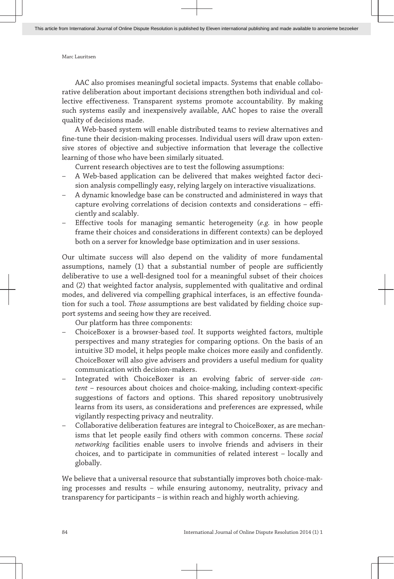AAC also promises meaningful societal impacts. Systems that enable collaborative deliberation about important decisions strengthen both individual and collective effectiveness. Transparent systems promote accountability. By making such systems easily and inexpensively available, AAC hopes to raise the overall quality of decisions made.

A Web-based system will enable distributed teams to review alternatives and fine-tune their decision-making processes. Individual users will draw upon extensive stores of objective and subjective information that leverage the collective learning of those who have been similarly situated.

Current research objectives are to test the following assumptions:

- A Web-based application can be delivered that makes weighted factor decision analysis compellingly easy, relying largely on interactive visualizations.
- A dynamic knowledge base can be constructed and administered in ways that capture evolving correlations of decision contexts and considerations – efficiently and scalably.
- Effective tools for managing semantic heterogeneity (*e.g.* in how people frame their choices and considerations in different contexts) can be deployed both on a server for knowledge base optimization and in user sessions.

Our ultimate success will also depend on the validity of more fundamental assumptions, namely (1) that a substantial number of people are sufficiently deliberative to use a well-designed tool for a meaningful subset of their choices and (2) that weighted factor analysis, supplemented with qualitative and ordinal modes, and delivered via compelling graphical interfaces, is an effective foundation for such a tool. *Those* assumptions are best validated by fielding choice support systems and seeing how they are received.

Our platform has three components:

- ChoiceBoxer is a browser-based *tool*. It supports weighted factors, multiple perspectives and many strategies for comparing options. On the basis of an intuitive 3D model, it helps people make choices more easily and confidently. ChoiceBoxer will also give advisers and providers a useful medium for quality communication with decision-makers.
- Integrated with ChoiceBoxer is an evolving fabric of server-side *content* – resources about choices and choice-making, including context-specific suggestions of factors and options. This shared repository unobtrusively learns from its users, as considerations and preferences are expressed, while vigilantly respecting privacy and neutrality.
- Collaborative deliberation features are integral to ChoiceBoxer, as are mechanisms that let people easily find others with common concerns. These *social networking* facilities enable users to involve friends and advisers in their choices, and to participate in communities of related interest – locally and globally.

We believe that a universal resource that substantially improves both choice-making processes and results – while ensuring autonomy, neutrality, privacy and transparency for participants – is within reach and highly worth achieving.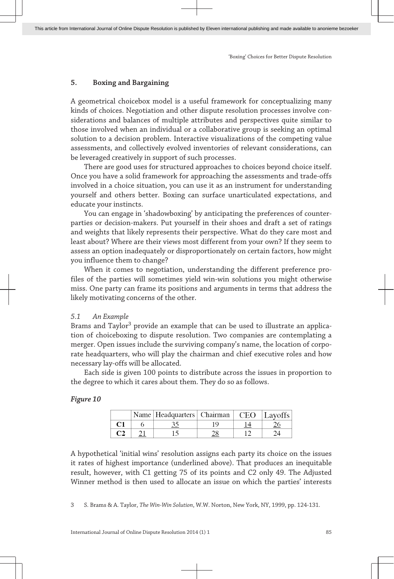### **5. Boxing and Bargaining**

A geometrical choicebox model is a useful framework for conceptualizing many kinds of choices. Negotiation and other dispute resolution processes involve considerations and balances of multiple attributes and perspectives quite similar to those involved when an individual or a collaborative group is seeking an optimal solution to a decision problem. Interactive visualizations of the competing value assessments, and collectively evolved inventories of relevant considerations, can be leveraged creatively in support of such processes.

There are good uses for structured approaches to choices beyond choice itself. Once you have a solid framework for approaching the assessments and trade-offs involved in a choice situation, you can use it as an instrument for understanding yourself and others better. Boxing can surface unarticulated expectations, and educate your instincts.

You can engage in 'shadowboxing' by anticipating the preferences of counterparties or decision-makers. Put yourself in their shoes and draft a set of ratings and weights that likely represents their perspective. What do they care most and least about? Where are their views most different from your own? If they seem to assess an option inadequately or disproportionately on certain factors, how might you influence them to change?

When it comes to negotiation, understanding the different preference profiles of the parties will sometimes yield win-win solutions you might otherwise miss. One party can frame its positions and arguments in terms that address the likely motivating concerns of the other.

### *5.1 An Example*

Brams and Taylor<sup>3</sup> provide an example that can be used to illustrate an application of choiceboxing to dispute resolution. Two companies are contemplating a merger. Open issues include the surviving company's name, the location of corporate headquarters, who will play the chairman and chief executive roles and how necessary lay-offs will be allocated.

Each side is given 100 points to distribute across the issues in proportion to the degree to which it cares about them. They do so as follows.

### *Figure 10*

|  | Name   Headquarters   Chairman   CEO |  | Lavoffs |
|--|--------------------------------------|--|---------|
|  |                                      |  |         |
|  |                                      |  |         |

A hypothetical 'initial wins' resolution assigns each party its choice on the issues it rates of highest importance (underlined above). That produces an inequitable result, however, with C1 getting 75 of its points and C2 only 49. The Adjusted Winner method is then used to allocate an issue on which the parties' interests

3 S. Brams & A. Taylor, *The Win-Win Solution*, W.W. Norton, New York, NY, 1999, pp. 124-131.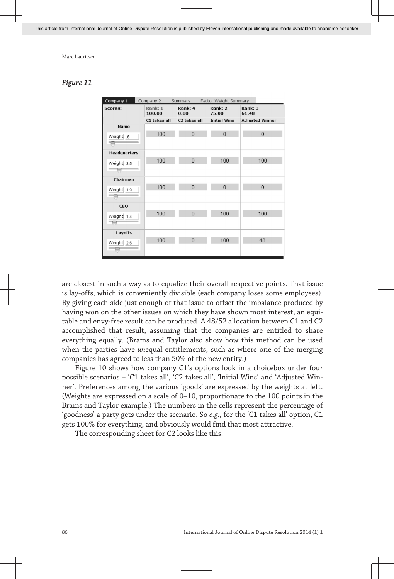## *Figure 11*

| Company 1           | Company 2         | Summary                  | Factor Weight Summary |                        |
|---------------------|-------------------|--------------------------|-----------------------|------------------------|
| Scores:             | Rank: 1<br>100.00 | Rank: 4<br>0.00          | Rank: 2<br>75.00      | Rank: 3<br>61.48       |
|                     | C1 takes all      | C <sub>2</sub> takes all | <b>Initial Wins</b>   | <b>Adjusted Winner</b> |
| <b>Name</b>         |                   |                          |                       |                        |
| Weight 6<br>R       | 100               | $\overline{0}$           | $\overline{0}$        | $\Omega$               |
| <b>Headquarters</b> |                   |                          |                       |                        |
| Weight 3.5          | 100               | $\overline{0}$           | 100                   | 100                    |
| Chairman            |                   |                          |                       |                        |
| Weight 1.9          | 100               | $\overline{0}$           | $\overline{0}$        | $\overline{0}$         |
| CEO                 |                   |                          |                       |                        |
| Weight 1.4          | 100               | $\overline{0}$           | 100                   | 100                    |
| Layoffs             |                   |                          |                       |                        |
| Weight 2.6          | 100               | $\Omega$                 | 100                   | 48                     |

are closest in such a way as to equalize their overall respective points. That issue is lay-offs, which is conveniently divisible (each company loses some employees). By giving each side just enough of that issue to offset the imbalance produced by having won on the other issues on which they have shown most interest, an equitable and envy-free result can be produced. A 48/52 allocation between C1 and C2 accomplished that result, assuming that the companies are entitled to share everything equally. (Brams and Taylor also show how this method can be used when the parties have *un*equal entitlements, such as where one of the merging companies has agreed to less than 50% of the new entity.)

Figure 10 shows how company C1's options look in a choicebox under four possible scenarios – 'C1 takes all', 'C2 takes all', 'Initial Wins' and 'Adjusted Winner'. Preferences among the various 'goods' are expressed by the weights at left. (Weights are expressed on a scale of 0–10, proportionate to the 100 points in the Brams and Taylor example.) The numbers in the cells represent the percentage of 'goodness' a party gets under the scenario. So *e.g.*, for the 'C1 takes all' option, C1 gets 100% for everything, and obviously would find that most attractive.

The corresponding sheet for C2 looks like this: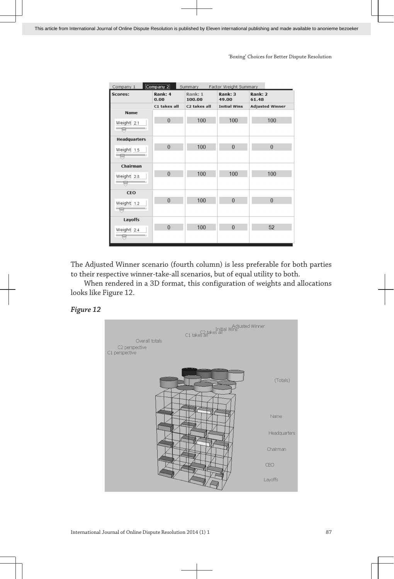| Company 2<br>Company 1<br>Factor Weight Summary<br>Summary |                 |                          |                     |                        |  |
|------------------------------------------------------------|-----------------|--------------------------|---------------------|------------------------|--|
| Scores:                                                    | Rank: 4<br>0.00 | Rank: 1<br>100.00        | Rank: 3<br>49.00    | Rank: 2<br>61.48       |  |
|                                                            | C1 takes all    | C <sub>2</sub> takes all | <b>Initial Wins</b> | <b>Adjusted Winner</b> |  |
| <b>Name</b>                                                |                 |                          |                     |                        |  |
| Weight 2.1                                                 | $\overline{0}$  | 100                      | 100                 | 100                    |  |
| <b>Headquarters</b>                                        |                 |                          |                     |                        |  |
|                                                            | $\overline{0}$  | 100                      | $\theta$            | $\overline{0}$         |  |
| Weight 1.5                                                 |                 |                          |                     |                        |  |
| Chairman                                                   |                 |                          |                     |                        |  |
| Weight 2.8                                                 | $\overline{0}$  | 100                      | 100                 | 100                    |  |
|                                                            |                 |                          |                     |                        |  |
| CEO                                                        |                 |                          |                     |                        |  |
| Weight 1.2                                                 | $\Omega$        | 100                      | $\Omega$            | $\Omega$               |  |
|                                                            |                 |                          |                     |                        |  |
| Layoffs                                                    |                 |                          |                     |                        |  |
| Weight 2.4                                                 | $\theta$        | 100                      | $\theta$            | 52                     |  |
|                                                            |                 |                          |                     |                        |  |

The Adjusted Winner scenario (fourth column) is less preferable for both parties to their respective winner-take-all scenarios, but of equal utility to both.

When rendered in a 3D format, this configuration of weights and allocations looks like Figure 12.

### *Figure 12*

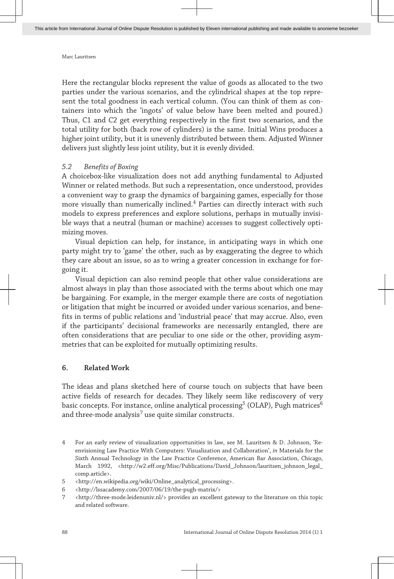Here the rectangular blocks represent the value of goods as allocated to the two parties under the various scenarios, and the cylindrical shapes at the top represent the total goodness in each vertical column. (You can think of them as containers into which the 'ingots' of value below have been melted and poured.) Thus, C1 and C2 get everything respectively in the first two scenarios, and the total utility for both (back row of cylinders) is the same. Initial Wins produces a higher joint utility, but it is unevenly distributed between them. Adjusted Winner delivers just slightly less joint utility, but it is evenly divided.

### *5.2 Benefits of Boxing*

A choicebox-like visualization does not add anything fundamental to Adjusted Winner or related methods. But such a representation, once understood, provides a convenient way to grasp the dynamics of bargaining games, especially for those more visually than numerically inclined.<sup>4</sup> Parties can directly interact with such models to express preferences and explore solutions, perhaps in mutually invisible ways that a neutral (human or machine) accesses to suggest collectively optimizing moves.

Visual depiction can help, for instance, in anticipating ways in which one party might try to 'game' the other, such as by exaggerating the degree to which they care about an issue, so as to wring a greater concession in exchange for forgoing it.

Visual depiction can also remind people that other value considerations are almost always in play than those associated with the terms about which one may be bargaining. For example, in the merger example there are costs of negotiation or litigation that might be incurred or avoided under various scenarios, and benefits in terms of public relations and 'industrial peace' that may accrue. Also, even if the participants' decisional frameworks are necessarily entangled, there are often considerations that are peculiar to one side or the other, providing asymmetries that can be exploited for mutually optimizing results.

#### **6. Related Work**

The ideas and plans sketched here of course touch on subjects that have been active fields of research for decades. They likely seem like rediscovery of very basic concepts. For instance, online analytical processing $^5$  (OLAP), Pugh matrices $^6$ and three-mode analysis $^7$  use quite similar constructs.

<sup>4</sup> For an early review of visualization opportunities in law, see M. Lauritsen & D. Johnson, 'Reenvisioning Law Practice With Computers: Visualization and Collaboration', *in* Materials for the Sixth Annual Technology in the Law Practice Conference, American Bar Association, Chicago, March 1992, <http://w2.eff.org/Misc/Publications/David Johnson/lauritsen\_johnson\_legal comp.article>.

<sup>5</sup> <http://en.wikipedia.org/wiki/Online\_analytical\_processing>.

<sup>6 &</sup>lt;http://lssacademy.com/2007/06/19/the-pugh-matrix/>

<sup>7</sup> <http://three-mode.leidenuniv.nl/> provides an excellent gateway to the literature on this topic and related software.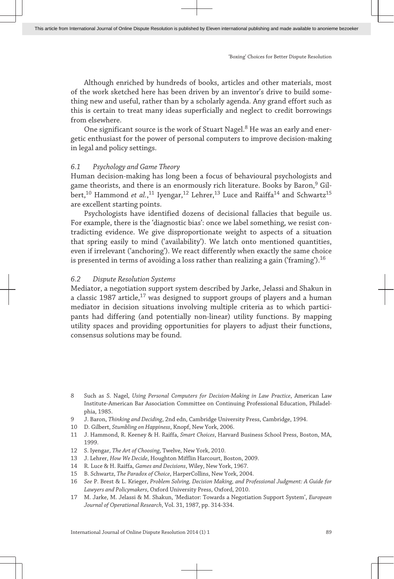Although enriched by hundreds of books, articles and other materials, most of the work sketched here has been driven by an inventor's drive to build something new and useful, rather than by a scholarly agenda. Any grand effort such as this is certain to treat many ideas superficially and neglect to credit borrowings from elsewhere.

One significant source is the work of Stuart Nagel.<sup>8</sup> He was an early and energetic enthusiast for the power of personal computers to improve decision-making in legal and policy settings.

### *6.1 Psychology and Game Theory*

Human decision-making has long been a focus of behavioural psychologists and game theorists, and there is an enormously rich literature. Books by Baron, $^9$  Gilbert,<sup>10</sup> Hammond *et al*.,<sup>11</sup> Iyengar,<sup>12</sup> Lehrer,<sup>13</sup> Luce and Raiffa<sup>14</sup> and Schwartz<sup>15</sup> are excellent starting points.

Psychologists have identified dozens of decisional fallacies that beguile us. For example, there is the 'diagnostic bias': once we label something, we resist contradicting evidence. We give disproportionate weight to aspects of a situation that spring easily to mind ('availability'). We latch onto mentioned quantities, even if irrelevant ('anchoring'). We react differently when exactly the same choice is presented in terms of avoiding a loss rather than realizing a gain ('framing').<sup>16</sup>

### *6.2 Dispute Resolution Systems*

Mediator, a negotiation support system described by Jarke, Jelassi and Shakun in a classic 1987 article, $17$  was designed to support groups of players and a human mediator in decision situations involving multiple criteria as to which participants had differing (and potentially non-linear) utility functions. By mapping utility spaces and providing opportunities for players to adjust their functions, consensus solutions may be found.

- 9 J. Baron, *Thinking and Deciding*, 2nd edn, Cambridge University Press, Cambridge, 1994.
- 10 D. Gilbert, *Stumbling on Happiness*, Knopf, New York, 2006.
- 11 J. Hammond, R. Keeney & H. Raiffa, *Smart Choices*, Harvard Business School Press, Boston, MA, 1999.
- 12 S. Iyengar, *The Art of Choosing*, Twelve, New York, 2010.
- 13 J. Lehrer, *How We Decide*, Houghton Mifflin Harcourt, Boston, 2009.
- 14 R. Luce & H. Raiffa, *Games and Decisions*, Wiley, New York, 1967.
- 15 B. Schwartz, *The Paradox of Choice*, HarperCollins, New York, 2004.
- 16 *See* P. Brest & L. Krieger, *Problem Solving, Decision Making, and Professional Judgment: A Guide for Lawyers and Policymakers*, Oxford University Press, Oxford, 2010.
- 17 M. Jarke, M. Jelassi & M. Shakun, 'Mediator: Towards a Negotiation Support System', *European Journal of Operational Research*, Vol. 31, 1987, pp. 314-334.

<sup>8</sup> Such as S. Nagel, *Using Personal Computers for Decision-Making in Law Practice*, American Law Institute-American Bar Association Committee on Continuing Professional Education, Philadelphia, 1985.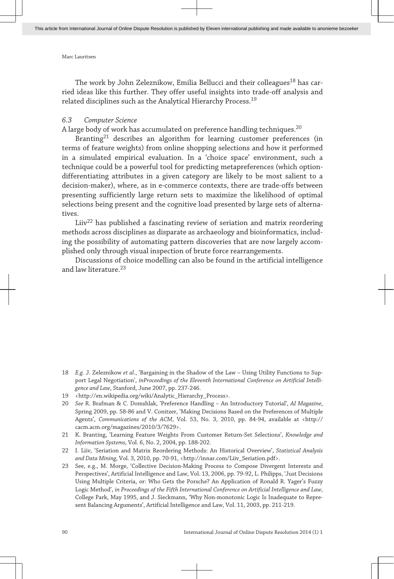The work by John Zeleznikow, Emilia Bellucci and their colleagues<sup>18</sup> has carried ideas like this further. They offer useful insights into trade-off analysis and related disciplines such as the Analytical Hierarchy Process.<sup>19</sup>

#### *6.3 Computer Science*

A large body of work has accumulated on preference handling techniques.<sup>20</sup>

Branting<sup>21</sup> describes an algorithm for learning customer preferences (in terms of feature weights) from online shopping selections and how it performed in a simulated empirical evaluation. In a 'choice space' environment, such a technique could be a powerful tool for predicting metapreferences (which optiondifferentiating attributes in a given category are likely to be most salient to a decision-maker), where, as in e-commerce contexts, there are trade-offs between presenting sufficiently large return sets to maximize the likelihood of optimal selections being present and the cognitive load presented by large sets of alternatives.

Liiv<sup>22</sup> has published a fascinating review of seriation and matrix reordering methods across disciplines as disparate as archaeology and bioinformatics, including the possibility of automating pattern discoveries that are now largely accomplished only through visual inspection of brute force rearrangements.

Discussions of choice modelling can also be found in the artificial intelligence and law literature.<sup>23</sup>

- 18 *E.g.* J. Zeleznikow *et al.*, 'Bargaining in the Shadow of the Law Using Utility Functions to Support Legal Negotiation', *inProceedings of the Eleventh International Conference on Artificial Intelligence and Law*, Stanford, June 2007, pp. 237-246.
- 19 <http://en.wikipedia.org/wiki/Analytic\_Hierarchy\_Process>.
- 20 *See* R. Brafman & C. Domshlak, 'Preference Handling An Introductory Tutorial', *AI Magazine*, Spring 2009, pp. 58-86 and V. Conitzer, 'Making Decisions Based on the Preferences of Multiple Agents', *Communications of the ACM*, Vol. 53, No. 3, 2010, pp. 84-94, available at <http:// cacm.acm.org/magazines/2010/3/7629>.
- 21 K. Branting, 'Learning Feature Weights From Customer Return-Set Selections', *Knowledge and Information Systems*, Vol. 6, No. 2, 2004, pp. 188-202.
- 22 I. Liiv, 'Seriation and Matrix Reordering Methods: An Historical Overview', *Statistical Analysis and Data Mining*, Vol. 3, 2010, pp. 70-91, <http://innar.com/Liiv\_Seriation.pdf>.
- 23 See, e.g., M. Morge, 'Collective Decision-Making Process to Compose Divergent Interests and Perspectives', Artificial Intelligence and Law, Vol. 13, 2006, pp. 79-92, L. Philipps, 'Just Decisions Using Multiple Criteria, or: Who Gets the Porsche? An Application of Ronald R. Yager's Fuzzy Logic Method', *in Proceedings of the Fifth International Conference on Artificial Intelligence and Law*, College Park, May 1995, and J. Sieckmann, 'Why Non-monotonic Logic Is Inadequate to Represent Balancing Arguments', Artificial Intelligence and Law, Vol. 11, 2003, pp. 211-219.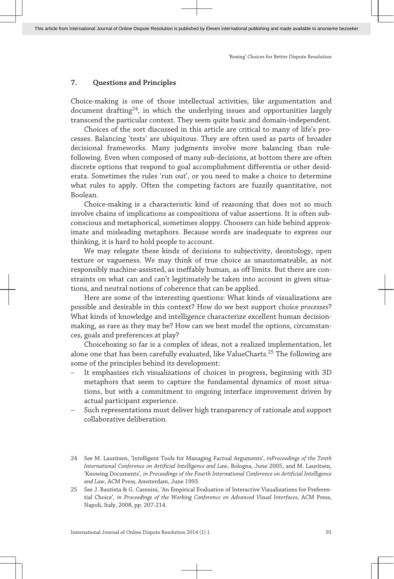### **7. Questions and Principles**

Choice-making is one of those intellectual activities, like argumentation and document drafting<sup>24</sup>, in which the underlying issues and opportunities largely transcend the particular context. They seem quite basic and domain-independent.

Choices of the sort discussed in this article are critical to many of life's processes. Balancing 'tests' are ubiquitous. They are often used as parts of broader decisional frameworks. Many judgments involve more balancing than rulefollowing. Even when composed of many sub-decisions, at bottom there are often discrete options that respond to goal accomplishment differentia or other desiderata. Sometimes the rules 'run out', or you need to make a choice to determine what rules to apply. Often the competing factors are fuzzily quantitative, not Boolean.

Choice-making is a characteristic kind of reasoning that does not so much involve chains of implications as compositions of value assertions. It is often subconscious and metaphorical, sometimes sloppy. Choosers can hide behind approximate and misleading metaphors. Because words are inadequate to express our thinking, it is hard to hold people to account.

We may relegate these kinds of decisions to subjectivity, deontology, open texture or vagueness. We may think of true choice as unautomateable, as not responsibly machine-assisted, as ineffably human, as off limits. But there are constraints on what can and can't legitimately be taken into account in given situations, and neutral notions of coherence that can be applied.

Here are some of the interesting questions: What kinds of visualizations are possible and desirable in this context? How do we best support choice *processes*? What kinds of knowledge and intelligence characterize excellent human decisionmaking, as rare as they may be? How can we best model the options, circumstances, goals and preferences at play?

Choiceboxing so far is a complex of ideas, not a realized implementation, let alone one that has been carefully evaluated, like ValueCharts.<sup>25</sup> The following are some of the principles behind its development:

- It emphasizes rich visualizations of choices in progress, beginning with 3D metaphors that seem to capture the fundamental dynamics of most situations, but with a commitment to ongoing interface improvement driven by actual participant experience.
- Such representations must deliver high transparency of rationale and support collaborative deliberation.

<sup>24</sup> See M. Lauritsen, 'Intelligent Tools for Managing Factual Arguments', *inProceedings of the Tenth International Conference on Artificial Intelligence and Law*, Bologna, June 2005, and M. Lauritsen, 'Knowing Documents', *in Proceedings of the Fourth International Conference on Artificial Intelligence and Law*, ACM Press, Amsterdam, June 1993.

<sup>25</sup> See J. Bautista & G. Carenini, 'An Empirical Evaluation of Interactive Visualizations for Preferential Choice', *in Proceedings of the Working Conference on Advanced Visual Interfaces*, ACM Press, Napoli, Italy, 2008, pp. 207-214.